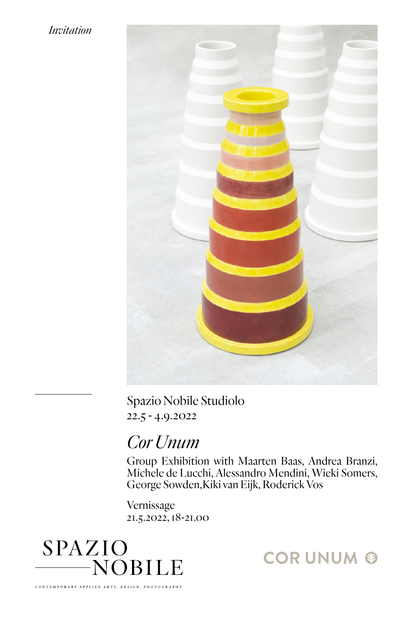## *Invitation*



Spazio Nobile Studiolo 22.5 - 4.9.2022

## *Cor Unum*

Group Exhibition with Maarten Baas, Andrea Branzi, Michele de Lucchi, Alessandro Mendini, Wieki Somers, George Sowden,Kiki van Eijk, Roderick Vos

Vernissage 21.5.2022, 18-21.00



**CORUNUM ®**